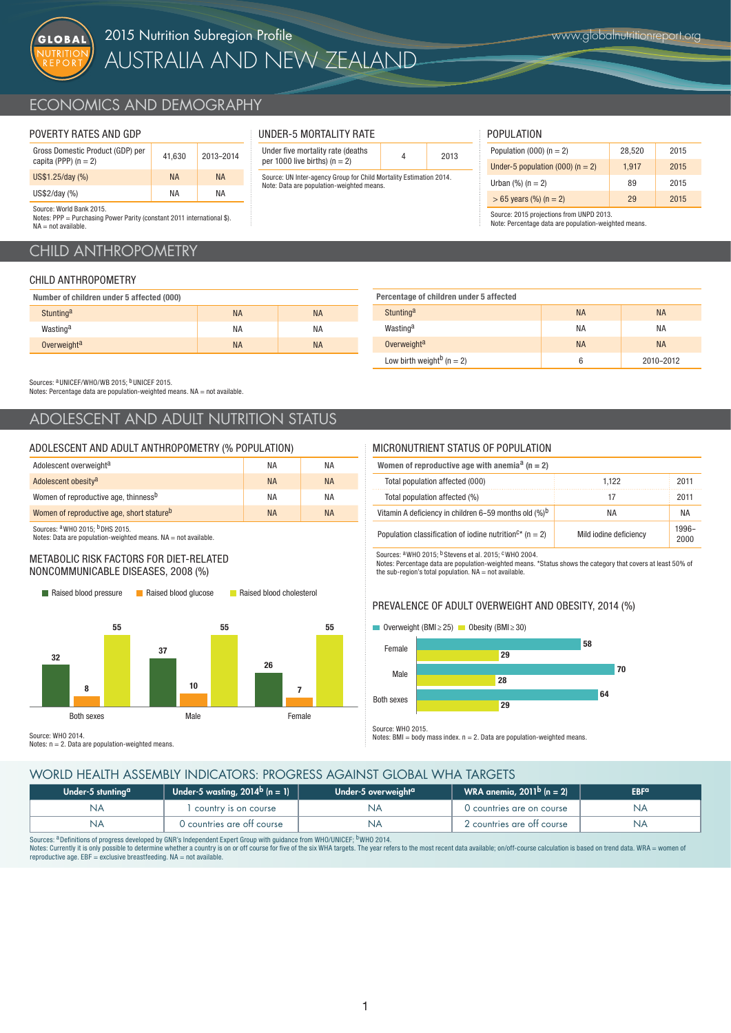

# ECONOMICS AND DEMOGRAPHY

### POVERTY RATES AND GDP

| Gross Domestic Product (GDP) per<br>capita (PPP) $(n = 2)$ | 41.630    | 2013-2014 |
|------------------------------------------------------------|-----------|-----------|
| US\$1.25/day (%)                                           | <b>NA</b> | <b>NA</b> |
| US\$2/day (%)                                              | ΝA        | ΝA        |
| Source: World Rank 2015                                    |           |           |

| UNDER-5 MORTALITY RATE            |
|-----------------------------------|
| Under five mortality rate (deaths |

Under five mortality rate (deaths  $q = 2$ ) and  $q = 2013$ Source: UN Inter-agency Group for Child Mortality Estimation 2014. Note: Data are population-weighted means.

### POPULATION

| Population (000) ( $n = 2$ )         | 28.520 | 2015 |
|--------------------------------------|--------|------|
| Under-5 population (000) ( $n = 2$ ) | 1.917  | 2015 |
| Urban $(\%)$ (n = 2)                 | 89     | 2015 |
| $> 65$ years (%) (n = 2)             | 29     | 2015 |

Source: 2015 projections from UNPD 2013. Note: Percentage data are population-weighted means.

Notes: PPP = Purchasing Power Parity (constant 2011 international \$). NA = not available.

## CHILD ANTHROPOMETRY

### CHILD ANTHROPOMETRY

| Number of children under 5 affected (000) |           |           |
|-------------------------------------------|-----------|-----------|
| Stunting <sup>a</sup>                     | <b>NA</b> | <b>NA</b> |
| Wasting <sup>a</sup>                      | <b>NA</b> | <b>NA</b> |
| Overweight <sup>a</sup>                   | <b>NA</b> | <b>NA</b> |

| Stunting <sup>a</sup>                     | <b>NA</b> | <b>NA</b> |
|-------------------------------------------|-----------|-----------|
| Wasting <sup>a</sup>                      | <b>NA</b> | <b>NA</b> |
| Overweight <sup>a</sup>                   | <b>NA</b> | <b>NA</b> |
| Low birth weight <sup>b</sup> ( $n = 2$ ) | 6         | 2010-2012 |

Sources: <sup>a</sup>UNICEF/WHO/WB 2015; <sup>b</sup>UNICEF 2015.

Notes: Percentage data are population-weighted means. NA = not available.

## ADOLESCENT AND ADULT NUTRITION STATUS

### ADOLESCENT AND ADULT ANTHROPOMETRY (% POPULATION)

| Adolescent overweight <sup>a</sup>                    | ΝA        | ΝA        |
|-------------------------------------------------------|-----------|-----------|
| Adolescent obesity <sup>a</sup>                       | <b>NA</b> | <b>NA</b> |
| Women of reproductive age, thinness <sup>b</sup>      | ΝA        | ΝA        |
| Women of reproductive age, short stature <sup>b</sup> | <b>NA</b> | <b>NA</b> |

Sources: <sup>a</sup> WHO 2015: <sup>b</sup>DHS 2015.

Notes: Data are population-weighted means.  $NA = not available$ .

### METABOLIC RISK FACTORS FOR DIET-RELATED NONCOMMUNICABLE DISEASES, 2008 (%)



Raised blood pressure Raised blood glucose Raised blood cholesterol

Source: WHO 2014.

Notes:  $n = 2$ . Data are population-weighted means.

### MICRONUTRIENT STATUS OF POPULATION

Percentage of children under 5 affected

| Women of reproductive age with anemia <sup>a</sup> ( $n = 2$ )                   |                        |                  |
|----------------------------------------------------------------------------------|------------------------|------------------|
| Total population affected (000)                                                  | 1.122                  | 2011             |
| Total population affected (%)                                                    | 17                     | 2011             |
| Vitamin A deficiency in children 6-59 months old $(\%)^b$                        | ΝA                     | ΝA               |
| Population classification of iodine nutrition <sup><math>c*</math></sup> (n = 2) | Mild iodine deficiency | $1996 -$<br>2000 |

Sources: <sup>a</sup>WHO 2015; <sup>b</sup> Stevens et al. 2015; <sup>c</sup>WHO 2004.

Notes: Percentage data are population-weighted means. \*Status shows the category that covers at least 50% of the sub-region's total population. NA = not available.

### PREVALENCE OF ADULT OVERWEIGHT AND OBESITY, 2014 (%)

### $\Box$  Overweight (BMI ≥ 25)  $\Box$  Obesity (BMI ≥ 30)



Source: WHO 2015. Notes:  $RMI = body$  mass index.  $n = 2$ . Data are population-weighted means.

### WORLD HEALTH ASSEMBLY INDICATORS: PROGRESS AGAINST GLOBAL WHA TARGETS

| Under-5 stunting <sup>a</sup> | Under-5 wasting, 2014 <sup>b</sup> (n = 1) | Under-5 overweight <sup>a</sup> | WRA anemia, $2011^b$ (n = 2) | <b>EBF<sup>a</sup></b> |
|-------------------------------|--------------------------------------------|---------------------------------|------------------------------|------------------------|
| ΝA                            | country is on course                       |                                 | 0 countries are on course    | NΑ                     |
| <b>NA</b>                     | O countries are off course                 |                                 | 2 countries are off course   | NΑ                     |

Sources: <sup>a</sup> Definitions of progress developed by GNR's Independent Expert Group with guidance from WHO/UNICEF; <sup>b</sup>WHO 2014.

Notes: Currently it is only possible to determine whether a country is on or off course for five of the six WHA targets. The year refers to the most recent data available; on/off-course calculation is based on trend data. reproductive age. EBF = exclusive breastfeeding. NA = not available.